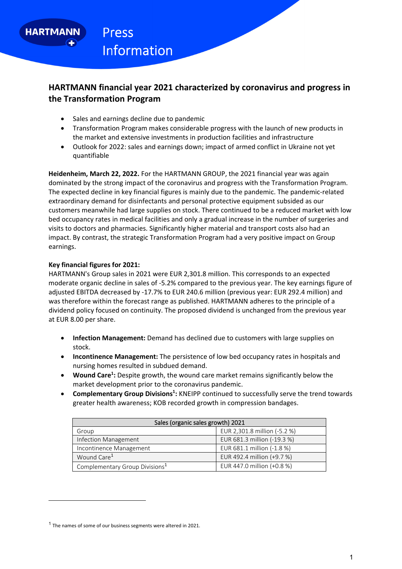**HARTMANN** 

# **HARTMANN financial year 2021 characterized by coronavirus and progress in the Transformation Program**

- Sales and earnings decline due to pandemic
- Transformation Program makes considerable progress with the launch of new products in the market and extensive investments in production facilities and infrastructure
- Outlook for 2022: sales and earnings down; impact of armed conflict in Ukraine not yet quantifiable

**Heidenheim, March 22, 2022.** For the HARTMANN GROUP, the 2021 financial year was again dominated by the strong impact of the coronavirus and progress with the Transformation Program. The expected decline in key financial figures is mainly due to the pandemic. The pandemic‐related extraordinary demand for disinfectants and personal protective equipment subsided as our customers meanwhile had large supplies on stock. There continued to be a reduced market with low bed occupancy rates in medical facilities and only a gradual increase in the number of surgeries and visits to doctors and pharmacies. Significantly higher material and transport costs also had an impact. By contrast, the strategic Transformation Program had a very positive impact on Group earnings.

## **Key financial figures for 2021:**

HARTMANN's Group sales in 2021 were EUR 2,301.8 million. This corresponds to an expected moderate organic decline in sales of ‐5.2% compared to the previous year. The key earnings figure of adjusted EBITDA decreased by ‐17.7% to EUR 240.6 million (previous year: EUR 292.4 million) and was therefore within the forecast range as published. HARTMANN adheres to the principle of a dividend policy focused on continuity. The proposed dividend is unchanged from the previous year at EUR 8.00 per share.

- **Infection Management:** Demand has declined due to customers with large supplies on stock.
- **Incontinence Management:** The persistence of low bed occupancy rates in hospitals and nursing homes resulted in subdued demand.
- **Wound Care<sup>1</sup>:** Despite growth, the wound care market remains significantly below the market development prior to the coronavirus pandemic.
- **Complementary Group Divisions<sup>1</sup>:** KNEIPP continued to successfully serve the trend towards greater health awareness; KOB recorded growth in compression bandages.

| Sales (organic sales growth) 2021          |                              |
|--------------------------------------------|------------------------------|
| Group                                      | EUR 2,301.8 million (-5.2 %) |
| Infection Management                       | EUR 681.3 million (-19.3 %)  |
| Incontinence Management                    | EUR 681.1 million (-1.8 %)   |
| Wound Care <sup>1</sup>                    | EUR 492.4 million (+9.7 %)   |
| Complementary Group Divisions <sup>1</sup> | EUR 447.0 million (+0.8 %)   |

 $1$  The names of some of our business segments were altered in 2021.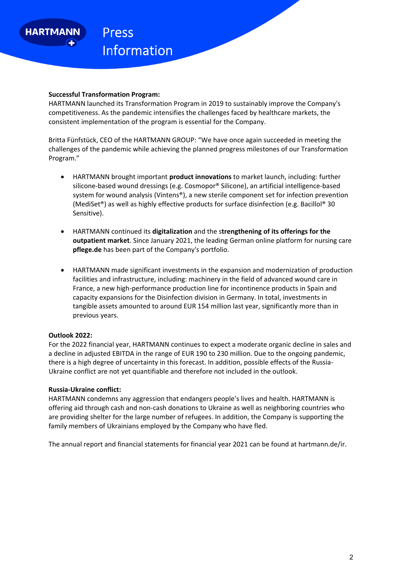

### **Successful Transformation Program:**

HARTMANN launched its Transformation Program in 2019 to sustainably improve the Company's competitiveness. As the pandemic intensifies the challenges faced by healthcare markets, the consistent implementation of the program is essential for the Company.

Britta Fünfstück, CEO of the HARTMANN GROUP: "We have once again succeeded in meeting the challenges of the pandemic while achieving the planned progress milestones of our Transformation Program."

- HARTMANN brought important **product innovations** to market launch, including: further silicone‐based wound dressings (e.g. Cosmopor® Silicone), an artificial intelligence‐based system for wound analysis (Vintens®), a new sterile component set for infection prevention (MediSet®) as well as highly effective products for surface disinfection (e.g. Bacillol® 30 Sensitive).
- HARTMANN continued its **digitalization** and the s**trengthening of its offerings for the outpatient market**. Since January 2021, the leading German online platform for nursing care **pflege.de** has been part of the Company's portfolio.
- HARTMANN made significant investments in the expansion and modernization of production facilities and infrastructure, including: machinery in the field of advanced wound care in France, a new high‐performance production line for incontinence products in Spain and capacity expansions for the Disinfection division in Germany. In total, investments in tangible assets amounted to around EUR 154 million last year, significantly more than in previous years.

### **Outlook 2022:**

For the 2022 financial year, HARTMANN continues to expect a moderate organic decline in sales and a decline in adjusted EBITDA in the range of EUR 190 to 230 million. Due to the ongoing pandemic, there is a high degree of uncertainty in this forecast. In addition, possible effects of the Russia-Ukraine conflict are not yet quantifiable and therefore not included in the outlook.

### **Russia‐Ukraine conflict:**

HARTMANN condemns any aggression that endangers people's lives and health. HARTMANN is offering aid through cash and non‐cash donations to Ukraine as well as neighboring countries who are providing shelter for the large number of refugees. In addition, the Company is supporting the family members of Ukrainians employed by the Company who have fled.

The annual report and financial statements for financial year 2021 can be found at hartmann.de/ir.